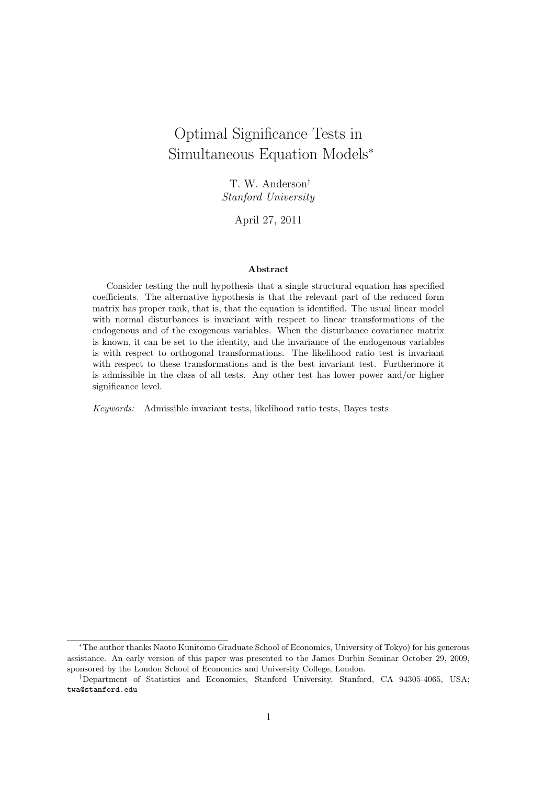# Optimal Significance Tests in Simultaneous Equation Models<sup>∗</sup>

T. W. Anderson† Stanford University

April 27, 2011

#### Abstract

Consider testing the null hypothesis that a single structural equation has specified coefficients. The alternative hypothesis is that the relevant part of the reduced form matrix has proper rank, that is, that the equation is identified. The usual linear model with normal disturbances is invariant with respect to linear transformations of the endogenous and of the exogenous variables. When the disturbance covariance matrix is known, it can be set to the identity, and the invariance of the endogenous variables is with respect to orthogonal transformations. The likelihood ratio test is invariant with respect to these transformations and is the best invariant test. Furthermore it is admissible in the class of all tests. Any other test has lower power and/or higher significance level.

Keywords: Admissible invariant tests, likelihood ratio tests, Bayes tests

<sup>∗</sup>The author thanks Naoto Kunitomo Graduate School of Economics, University of Tokyo) for his generous assistance. An early version of this paper was presented to the James Durbin Seminar October 29, 2009, sponsored by the London School of Economics and University College, London.

<sup>†</sup>Department of Statistics and Economics, Stanford University, Stanford, CA 94305-4065, USA; twa@stanford.edu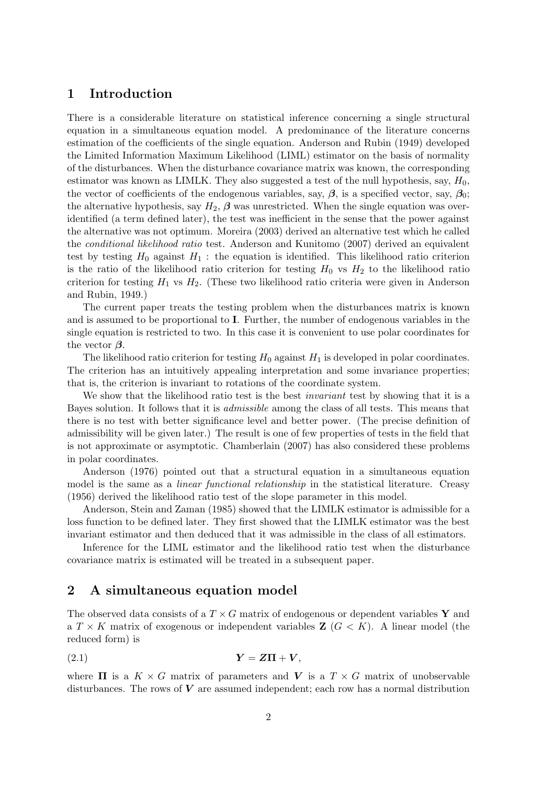# 1 Introduction

There is a considerable literature on statistical inference concerning a single structural equation in a simultaneous equation model. A predominance of the literature concerns estimation of the coefficients of the single equation. Anderson and Rubin (1949) developed the Limited Information Maximum Likelihood (LIML) estimator on the basis of normality of the disturbances. When the disturbance covariance matrix was known, the corresponding estimator was known as LIMLK. They also suggested a test of the null hypothesis, say,  $H_0$ , the vector of coefficients of the endogenous variables, say,  $\beta$ , is a specified vector, say,  $\beta_0$ ; the alternative hypothesis, say  $H_2$ ,  $\beta$  was unrestricted. When the single equation was overidentified (a term defined later), the test was inefficient in the sense that the power against the alternative was not optimum. Moreira (2003) derived an alternative test which he called the conditional likelihood ratio test. Anderson and Kunitomo (2007) derived an equivalent test by testing  $H_0$  against  $H_1$ : the equation is identified. This likelihood ratio criterion is the ratio of the likelihood ratio criterion for testing  $H_0$  vs  $H_2$  to the likelihood ratio criterion for testing  $H_1$  vs  $H_2$ . (These two likelihood ratio criteria were given in Anderson and Rubin, 1949.)

The current paper treats the testing problem when the disturbances matrix is known and is assumed to be proportional to I. Further, the number of endogenous variables in the single equation is restricted to two. In this case it is convenient to use polar coordinates for the vector  $\beta$ .

The likelihood ratio criterion for testing  $H_0$  against  $H_1$  is developed in polar coordinates. The criterion has an intuitively appealing interpretation and some invariance properties; that is, the criterion is invariant to rotations of the coordinate system.

We show that the likelihood ratio test is the best *invariant* test by showing that it is a Bayes solution. It follows that it is admissible among the class of all tests. This means that there is no test with better significance level and better power. (The precise definition of admissibility will be given later.) The result is one of few properties of tests in the field that is not approximate or asymptotic. Chamberlain (2007) has also considered these problems in polar coordinates.

Anderson (1976) pointed out that a structural equation in a simultaneous equation model is the same as a *linear functional relationship* in the statistical literature. Creasy (1956) derived the likelihood ratio test of the slope parameter in this model.

Anderson, Stein and Zaman (1985) showed that the LIMLK estimator is admissible for a loss function to be defined later. They first showed that the LIMLK estimator was the best invariant estimator and then deduced that it was admissible in the class of all estimators.

Inference for the LIML estimator and the likelihood ratio test when the disturbance covariance matrix is estimated will be treated in a subsequent paper.

# 2 A simultaneous equation model

The observed data consists of a  $T \times G$  matrix of endogenous or dependent variables Y and a  $T \times K$  matrix of exogenous or independent variables  $\mathbb{Z}$  ( $G \lt K$ ). A linear model (the reduced form) is

$$
Y = Z\Pi + V,
$$

where  $\Pi$  is a  $K \times G$  matrix of parameters and V is a  $T \times G$  matrix of unobservable disturbances. The rows of  $V$  are assumed independent; each row has a normal distribution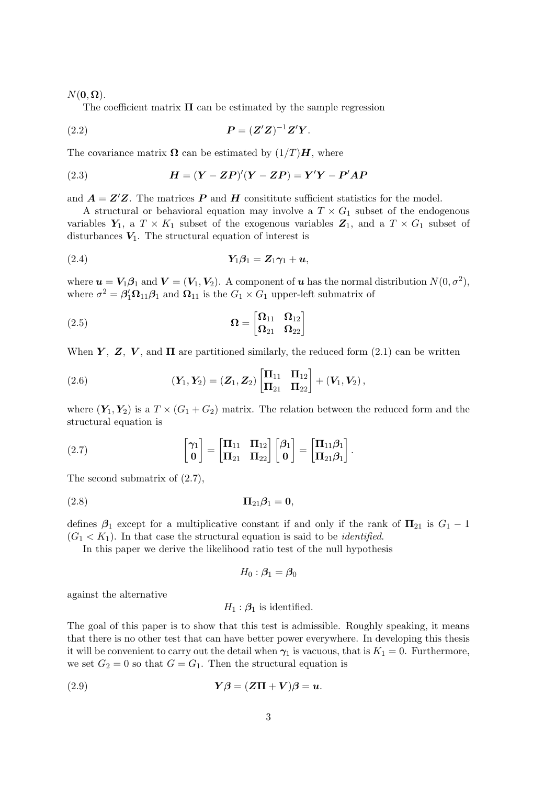#### $N(\mathbf{0}, \mathbf{\Omega}).$

The coefficient matrix  $\Pi$  can be estimated by the sample regression

(2.2) P = (Z <sup>0</sup>Z) <sup>−</sup>1Z <sup>0</sup>Y .

The covariance matrix  $\Omega$  can be estimated by  $(1/T)H$ , where

(2.3) 
$$
H = (Y - ZP)'(Y - ZP) = Y'Y - P'AP
$$

and  $A = Z'Z$ . The matrices P and H consititute sufficient statistics for the model.

A structural or behavioral equation may involve a  $T \times G_1$  subset of the endogenous variables  $Y_1$ , a  $T \times K_1$  subset of the exogenous variables  $Z_1$ , and a  $T \times G_1$  subset of disturbances  $V_1$ . The structural equation of interest is

$$
Y_1\beta_1 = Z_1\gamma_1 + u,
$$

where  $u = V_1 \beta_1$  and  $V = (V_1, V_2)$ . A component of u has the normal distribution  $N(0, \sigma^2)$ , where  $\sigma^2 = \beta_1^{\prime} \Omega_{11} \beta_1$  and  $\Omega_{11}$  is the  $G_1 \times G_1$  upper-left submatrix of

(2.5) 
$$
\Omega = \begin{bmatrix} \Omega_{11} & \Omega_{12} \\ \Omega_{21} & \Omega_{22} \end{bmatrix}
$$

When Y, Z, V, and  $\Pi$  are partitioned similarly, the reduced form (2.1) can be written

(2.6) 
$$
(\mathbf{Y}_1, \mathbf{Y}_2) = (\mathbf{Z}_1, \mathbf{Z}_2) \begin{bmatrix} \mathbf{\Pi}_{11} & \mathbf{\Pi}_{12} \\ \mathbf{\Pi}_{21} & \mathbf{\Pi}_{22} \end{bmatrix} + (\mathbf{V}_1, \mathbf{V}_2),
$$

where  $(Y_1, Y_2)$  is a  $T \times (G_1 + G_2)$  matrix. The relation between the reduced form and the structural equation is

(2.7) 
$$
\begin{bmatrix} \gamma_1 \\ \mathbf{0} \end{bmatrix} = \begin{bmatrix} \mathbf{\Pi}_{11} & \mathbf{\Pi}_{12} \\ \mathbf{\Pi}_{21} & \mathbf{\Pi}_{22} \end{bmatrix} \begin{bmatrix} \beta_1 \\ \mathbf{0} \end{bmatrix} = \begin{bmatrix} \mathbf{\Pi}_{11} \beta_1 \\ \mathbf{\Pi}_{21} \beta_1 \end{bmatrix}.
$$

The second submatrix of (2.7),

$$
\Pi_{21}\beta_1 = \mathbf{0},
$$

defines  $\beta_1$  except for a multiplicative constant if and only if the rank of  $\Pi_{21}$  is  $G_1 - 1$  $(G_1 < K_1)$ . In that case the structural equation is said to be *identified*.

In this paper we derive the likelihood ratio test of the null hypothesis

$$
H_0: \bm{\beta}_1 = \bm{\beta}_0
$$

against the alternative

$$
H_1: \mathcal{B}_1
$$
 is identified.

The goal of this paper is to show that this test is admissible. Roughly speaking, it means that there is no other test that can have better power everywhere. In developing this thesis it will be convenient to carry out the detail when  $\gamma_1$  is vacuous, that is  $K_1 = 0$ . Furthermore, we set  $G_2 = 0$  so that  $G = G_1$ . Then the structural equation is

(2.9) 
$$
Y\beta = (Z\Pi + V)\beta = u.
$$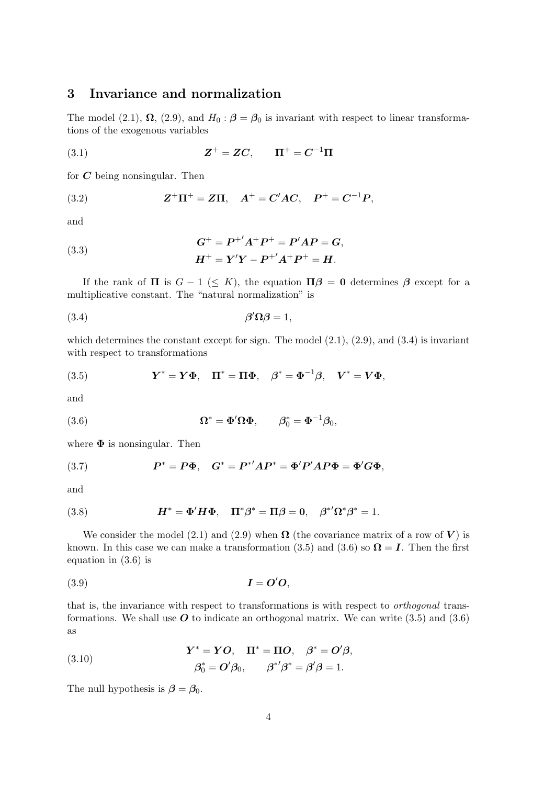# 3 Invariance and normalization

The model (2.1),  $\Omega$ , (2.9), and  $H_0$ :  $\beta = \beta_0$  is invariant with respect to linear transformations of the exogenous variables

(3.1) 
$$
Z^{+} = ZC, \qquad \Pi^{+} = C^{-1}\Pi
$$

for  $C$  being nonsingular. Then

(3.2) 
$$
Z^{+}\Pi^{+} = Z\Pi, \quad A^{+} = C'AC, \quad P^{+} = C^{-1}P,
$$

and

(3.3) 
$$
G^{+} = P^{+'}A^{+}P^{+} = P'AP = G,
$$

$$
H^{+} = Y'Y - P^{+'}A^{+}P^{+} = H.
$$

If the rank of  $\Pi$  is  $G - 1 \leq K$ , the equation  $\Pi \beta = 0$  determines  $\beta$  except for a multiplicative constant. The "natural normalization" is

$$
\beta' \Omega \beta = 1,
$$

which determines the constant except for sign. The model  $(2.1)$ ,  $(2.9)$ , and  $(3.4)$  is invariant with respect to transformations

(3.5) 
$$
Y^* = Y\Phi, \quad \Pi^* = \Pi\Phi, \quad \beta^* = \Phi^{-1}\beta, \quad V^* = V\Phi,
$$

and

(3.6) 
$$
\Omega^* = \Phi' \Omega \Phi, \qquad \beta_0^* = \Phi^{-1} \beta_0,
$$

where  $\Phi$  is nonsingular. Then

(3.7) 
$$
P^* = P\Phi, \quad G^* = P^{*'}AP^* = \Phi'P'AP\Phi = \Phi'G\Phi,
$$

and

(3.8) 
$$
H^* = \Phi' H \Phi, \quad \Pi^* \beta^* = \Pi \beta = 0, \quad \beta^{*'} \Omega^* \beta^* = 1.
$$

We consider the model (2.1) and (2.9) when  $\Omega$  (the covariance matrix of a row of V) is known. In this case we can make a transformation (3.5) and (3.6) so  $\Omega = I$ . Then the first equation in (3.6) is

$$
(3.9) \t\t I = O'O,
$$

that is, the invariance with respect to transformations is with respect to orthogonal transformations. We shall use  $\boldsymbol{O}$  to indicate an orthogonal matrix. We can write (3.5) and (3.6) as

(3.10) 
$$
\mathbf{Y}^* = \mathbf{Y}\mathbf{O}, \quad \mathbf{\Pi}^* = \mathbf{\Pi}\mathbf{O}, \quad \boldsymbol{\beta}^* = \mathbf{O}'\boldsymbol{\beta}, \n\boldsymbol{\beta}_0^* = \mathbf{O}'\boldsymbol{\beta}_0, \qquad \boldsymbol{\beta}^{*'}\boldsymbol{\beta}^* = \boldsymbol{\beta}'\boldsymbol{\beta} = 1.
$$

The null hypothesis is  $\beta = \beta_0$ .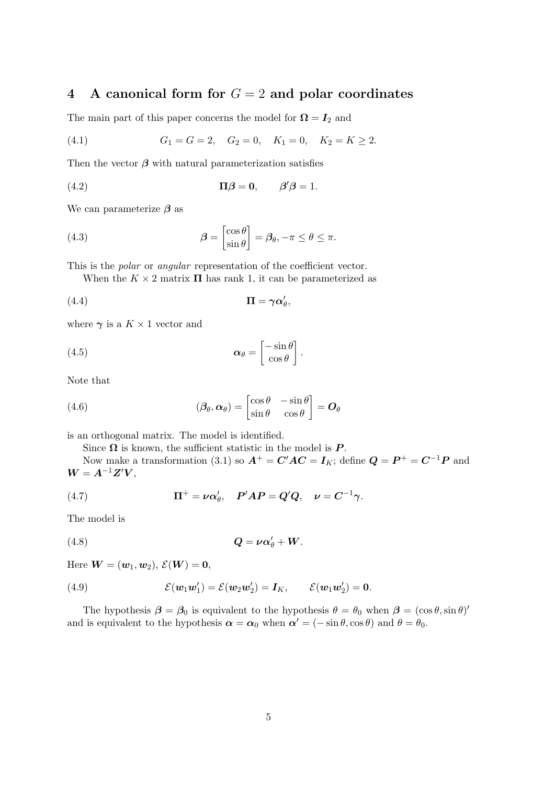# 4 A canonical form for  $G = 2$  and polar coordinates

The main part of this paper concerns the model for  $\Omega = I_2$  and

(4.1) 
$$
G_1 = G = 2
$$
,  $G_2 = 0$ ,  $K_1 = 0$ ,  $K_2 = K \ge 2$ .

Then the vector  $\beta$  with natural parameterization satisfies

(4.2) 
$$
\Pi \boldsymbol{\beta} = \mathbf{0}, \qquad \boldsymbol{\beta}' \boldsymbol{\beta} = 1.
$$

We can parameterize  $\beta$  as

(4.3) 
$$
\beta = \begin{bmatrix} \cos \theta \\ \sin \theta \end{bmatrix} = \beta_{\theta}, -\pi \le \theta \le \pi.
$$

This is the *polar* or *angular* representation of the coefficient vector.

When the  $K \times 2$  matrix  $\Pi$  has rank 1, it can be parameterized as

$$
(4.4) \t\t \mathbf{\Pi} = \gamma \alpha'_{\theta},
$$

where  $\gamma$  is a  $K \times 1$  vector and

(4.5) 
$$
\boldsymbol{\alpha}_{\theta} = \begin{bmatrix} -\sin \theta \\ \cos \theta \end{bmatrix}.
$$

Note that

(4.6) 
$$
(\beta_{\theta}, \alpha_{\theta}) = \begin{bmatrix} \cos \theta & -\sin \theta \\ \sin \theta & \cos \theta \end{bmatrix} = O_{\theta}
$$

is an orthogonal matrix. The model is identified.

Since  $\Omega$  is known, the sufficient statistic in the model is  $P$ .

Now make a transformation (3.1) so  $A^+ = C'AC = I_K$ ; define  $Q = P^+ = C^{-1}P$  and  $W = A^{-1}Z'V,$ 

(4.7) 
$$
\Pi^+ = \nu \alpha'_\theta, \quad P'AP = Q'Q, \quad \nu = C^{-1} \gamma.
$$

The model is

$$
(4.8) \tQ = \nu \alpha'_{\theta} + W.
$$

Here  $\boldsymbol{W} = (\boldsymbol{w}_1, \boldsymbol{w}_2), \ \mathcal{E}(\boldsymbol{W}) = \boldsymbol{0},$ 

(4.9) 
$$
\mathcal{E}(\mathbf{w}_1 \mathbf{w}'_1) = \mathcal{E}(\mathbf{w}_2 \mathbf{w}'_2) = \mathbf{I}_K, \qquad \mathcal{E}(\mathbf{w}_1 \mathbf{w}'_2) = \mathbf{0}.
$$

The hypothesis  $\beta = \beta_0$  is equivalent to the hypothesis  $\theta = \theta_0$  when  $\beta = (\cos \theta, \sin \theta)^t$ and is equivalent to the hypothesis  $\alpha = \alpha_0$  when  $\alpha' = (-\sin \theta, \cos \theta)$  and  $\theta = \theta_0$ .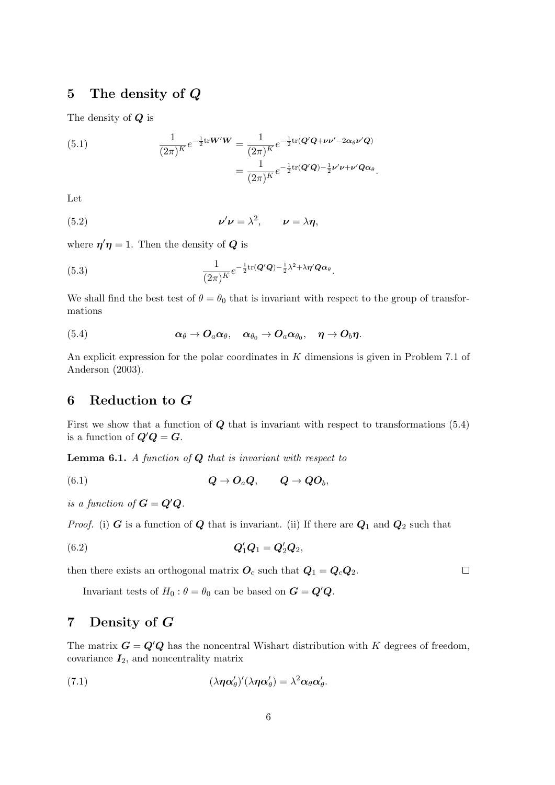# 5 The density of Q

The density of Q is

(5.1) 
$$
\frac{1}{(2\pi)^K}e^{-\frac{1}{2}\text{tr}W'W} = \frac{1}{(2\pi)^K}e^{-\frac{1}{2}\text{tr}(Q'Q+\nu\nu'-2\alpha_\theta\nu'Q)}
$$

$$
= \frac{1}{(2\pi)^K}e^{-\frac{1}{2}\text{tr}(Q'Q)-\frac{1}{2}\nu'\nu+\nu'Q\alpha_\theta}.
$$

Let

(5.2) 
$$
\nu' \nu = \lambda^2, \qquad \nu = \lambda \eta,
$$

where  $\eta' \eta = 1$ . Then the density of Q is

(5.3) 
$$
\frac{1}{(2\pi)^K}e^{-\frac{1}{2}\text{tr}(\boldsymbol{Q}'\boldsymbol{Q})-\frac{1}{2}\lambda^2+\lambda\boldsymbol{\eta}'\boldsymbol{Q}\boldsymbol{\alpha}_{\theta}}.
$$

We shall find the best test of  $\theta = \theta_0$  that is invariant with respect to the group of transformations

(5.4) 
$$
\alpha_{\theta} \rightarrow O_{a} \alpha_{\theta}, \quad \alpha_{\theta_{0}} \rightarrow O_{a} \alpha_{\theta_{0}}, \quad \eta \rightarrow O_{b} \eta.
$$

An explicit expression for the polar coordinates in K dimensions is given in Problem 7.1 of Anderson (2003).

# 6 Reduction to G

First we show that a function of  $Q$  that is invariant with respect to transformations  $(5.4)$ is a function of  $Q'Q = G$ .

**Lemma 6.1.** A function of  $Q$  that is invariant with respect to

$$
(6.1) \tQ \to O_aQ, \tQ \to QO_b,
$$

is a function of  $G = Q'Q$ .

*Proof.* (i) G is a function of Q that is invariant. (ii) If there are  $Q_1$  and  $Q_2$  such that

(6.2) 
$$
Q'_1Q_1 = Q'_2Q_2,
$$

then there exists an orthogonal matrix  $O_c$  such that  $Q_1 = Q_c Q_2$ .

Invariant tests of  $H_0: \theta = \theta_0$  can be based on  $G = Q'Q$ .

# 7 Density of G

The matrix  $G = Q'Q$  has the noncentral Wishart distribution with K degrees of freedom, covariance  $I_2$ , and noncentrality matrix

(7.1) 
$$
(\lambda \eta \alpha'_{\theta})'(\lambda \eta \alpha'_{\theta}) = \lambda^2 \alpha_{\theta} \alpha'_{\theta}.
$$

 $\Box$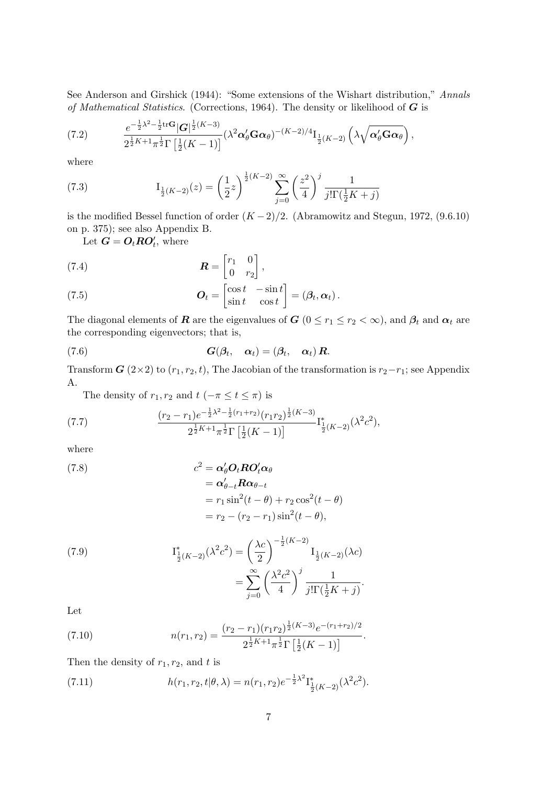See Anderson and Girshick (1944): "Some extensions of the Wishart distribution," Annals of Mathematical Statistics. (Corrections, 1964). The density or likelihood of  $G$  is

$$
(7.2) \qquad \frac{e^{-\frac{1}{2}\lambda^2-\frac{1}{2}\mathrm{tr}\mathbf{G}}|\mathbf{G}|^{\frac{1}{2}(K-3)}}{2^{\frac{1}{2}K+1}\pi^{\frac{1}{2}}\Gamma\left[\frac{1}{2}(K-1)\right]}(\lambda^2\boldsymbol{\alpha}'_{\theta}\mathbf{G}\boldsymbol{\alpha}_{\theta})^{-(K-2)/4}\mathbf{I}_{\frac{1}{2}(K-2)}\left(\lambda\sqrt{\boldsymbol{\alpha}'_{\theta}\mathbf{G}\boldsymbol{\alpha}_{\theta}}\right),
$$

where

(7.3) 
$$
I_{\frac{1}{2}(K-2)}(z) = \left(\frac{1}{2}z\right)^{\frac{1}{2}(K-2)} \sum_{j=0}^{\infty} \left(\frac{z^2}{4}\right)^j \frac{1}{j!\Gamma(\frac{1}{2}K+j)}
$$

is the modified Bessel function of order  $(K-2)/2$ . (Abramowitz and Stegun, 1972, (9.6.10) on p. 375); see also Appendix B.

Let  $\mathbf{G} = \mathbf{O}_t \mathbf{R} \mathbf{O}'_t$ , where

(7.4) 
$$
\boldsymbol{R} = \begin{bmatrix} r_1 & 0 \\ 0 & r_2 \end{bmatrix},
$$

(7.5) 
$$
\boldsymbol{O}_t = \begin{bmatrix} \cos t & -\sin t \\ \sin t & \cos t \end{bmatrix} = (\boldsymbol{\beta}_t, \boldsymbol{\alpha}_t).
$$

The diagonal elements of **R** are the eigenvalues of  $G$  ( $0 \le r_1 \le r_2 < \infty$ ), and  $\beta_t$  and  $\alpha_t$  are the corresponding eigenvectors; that is,

(7.6) 
$$
G(\beta_t, \alpha_t) = (\beta_t, \alpha_t) R.
$$

Transform  $G(2\times2)$  to  $(r_1, r_2, t)$ , The Jacobian of the transformation is  $r_2-r_1$ ; see Appendix A.

The density of  $r_1, r_2$  and  $t$  ( $-\pi \le t \le \pi$ ) is

(7.7) 
$$
\frac{(r_2 - r_1)e^{-\frac{1}{2}\lambda^2 - \frac{1}{2}(r_1 + r_2)}(r_1r_2)^{\frac{1}{2}(K-3)}}{2^{\frac{1}{2}K+1}\pi^{\frac{1}{2}}\Gamma\left[\frac{1}{2}(K-1)\right]} \Gamma_{\frac{1}{2}(K-2)}^*(\lambda^2 c^2),
$$

where

(7.8)  
\n
$$
c^{2} = \alpha_{\theta}^{\prime} O_{t} RO_{t}^{\prime} \alpha_{\theta}
$$
\n
$$
= \alpha_{\theta-t}^{\prime} R \alpha_{\theta-t}
$$
\n
$$
= r_{1} \sin^{2}(t - \theta) + r_{2} \cos^{2}(t - \theta)
$$
\n
$$
= r_{2} - (r_{2} - r_{1}) \sin^{2}(t - \theta),
$$

(7.9) 
$$
\mathcal{I}_{\frac{1}{2}(K-2)}^{*}(\lambda^{2}c^{2}) = \left(\frac{\lambda c}{2}\right)^{-\frac{1}{2}(K-2)} \mathcal{I}_{\frac{1}{2}(K-2)}(\lambda c)
$$

$$
= \sum_{j=0}^{\infty} \left(\frac{\lambda^{2}c^{2}}{4}\right)^{j} \frac{1}{j!\Gamma(\frac{1}{2}K+j)}.
$$

Let

(7.10) 
$$
n(r_1, r_2) = \frac{(r_2 - r_1)(r_1 r_2)^{\frac{1}{2}(K-3)}e^{-(r_1+r_2)/2}}{2^{\frac{1}{2}K+1}\pi^{\frac{1}{2}}\Gamma\left[\frac{1}{2}(K-1)\right]}.
$$

Then the density of  $r_1, r_2$ , and t is

(7.11) 
$$
h(r_1, r_2, t | \theta, \lambda) = n(r_1, r_2) e^{-\frac{1}{2}\lambda^2} I_{\frac{1}{2}(K-2)}^*(\lambda^2 c^2).
$$

1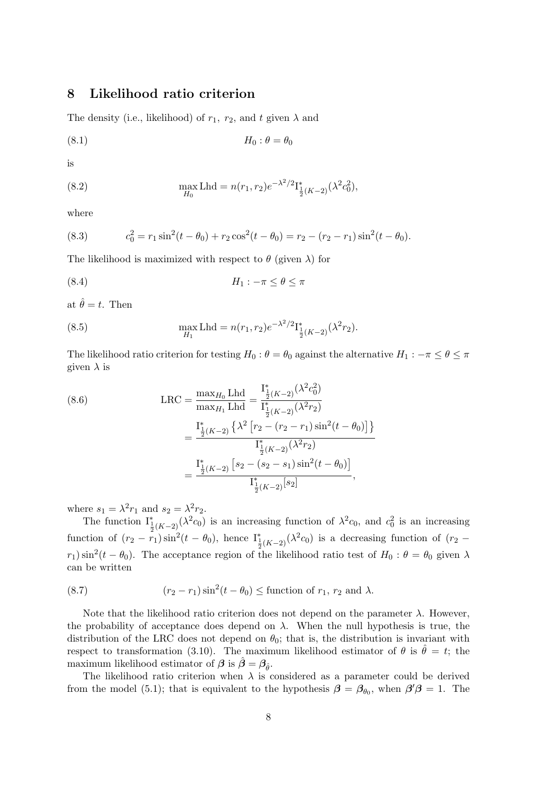## 8 Likelihood ratio criterion

The density (i.e., likelihood) of  $r_1$ ,  $r_2$ , and t given  $\lambda$  and

$$
(8.1) \t\t H_0: \theta = \theta_0
$$

is

(8.2) 
$$
\max_{H_0} \text{Lhd} = n(r_1, r_2) e^{-\lambda^2/2} I_{\frac{1}{2}(K-2)}^*(\lambda^2 c_0^2),
$$

where

(8.3) 
$$
c_0^2 = r_1 \sin^2(t - \theta_0) + r_2 \cos^2(t - \theta_0) = r_2 - (r_2 - r_1) \sin^2(t - \theta_0).
$$

The likelihood is maximized with respect to  $\theta$  (given  $\lambda$ ) for

$$
(8.4) \t\t\t H_1: -\pi \le \theta \le \pi
$$

at  $\hat{\theta} = t$ . Then

(8.5) 
$$
\max_{H_1} \text{Lhd} = n(r_1, r_2) e^{-\lambda^2/2} I_{\frac{1}{2}(K-2)}^*(\lambda^2 r_2).
$$

The likelihood ratio criterion for testing  $H_0$  :  $\theta = \theta_0$  against the alternative  $H_1$  :  $-\pi \le \theta \le \pi$ given  $\lambda$  is

(8.6) 
$$
\text{LRC} = \frac{\max_{H_0} \text{Lhd}}{\max_{H_1} \text{Lhd}} = \frac{\int_{\frac{1}{2}(K-2)}^{\frac{s}{2}}(\lambda^2 c_0^2)}{\int_{\frac{1}{2}(K-2)}^{\frac{s}{2}}(\lambda^2 r_2)} = \frac{\int_{\frac{1}{2}(K-2)}^{\frac{s}{2}}(\lambda^2 [r_2 - (r_2 - r_1) \sin^2(t - \theta_0)]\}}{\int_{\frac{1}{2}(K-2)}^{\frac{s}{2}}(\lambda^2 r_2)} = \frac{\int_{\frac{1}{2}(K-2)}^{\frac{s}{2}}[s_2 - (s_2 - s_1) \sin^2(t - \theta_0)]}{\int_{\frac{1}{2}(K-2)}^{\frac{s}{2}}[s_2]},
$$

where  $s_1 = \lambda^2 r_1$  and  $s_2 = \lambda^2 r_2$ .

The function  $I_{\frac{1}{2}(K-2)}^*(\lambda^2 c_0)$  is an increasing function of  $\lambda^2 c_0$ , and  $c_0^2$  is an increasing function of  $(r_2 - r_1)\sin^2(t - \theta_0)$ , hence  $I^*_{\frac{1}{2}(K-2)}(\lambda^2 c_0)$  is a decreasing function of  $(r_2$  $r_1$ ) sin<sup>2</sup>(t –  $\theta_0$ ). The acceptance region of the likelihood ratio test of  $H_0: \theta = \theta_0$  given  $\lambda$ can be written

(8.7) 
$$
(r_2 - r_1)\sin^2(t - \theta_0) \leq \text{function of } r_1, r_2 \text{ and } \lambda.
$$

Note that the likelihood ratio criterion does not depend on the parameter  $\lambda$ . However, the probability of acceptance does depend on  $\lambda$ . When the null hypothesis is true, the distribution of the LRC does not depend on  $\theta_0$ ; that is, the distribution is invariant with respect to transformation (3.10). The maximum likelihood estimator of  $\theta$  is  $\hat{\theta} = t$ ; the maximum likelihood estimator of  $\beta$  is  $\hat{\beta} = \beta_{\hat{\theta}}$ .

The likelihood ratio criterion when  $\lambda$  is considered as a parameter could be derived from the model (5.1); that is equivalent to the hypothesis  $\beta = \beta_{\theta_0}$ , when  $\beta' \beta = 1$ . The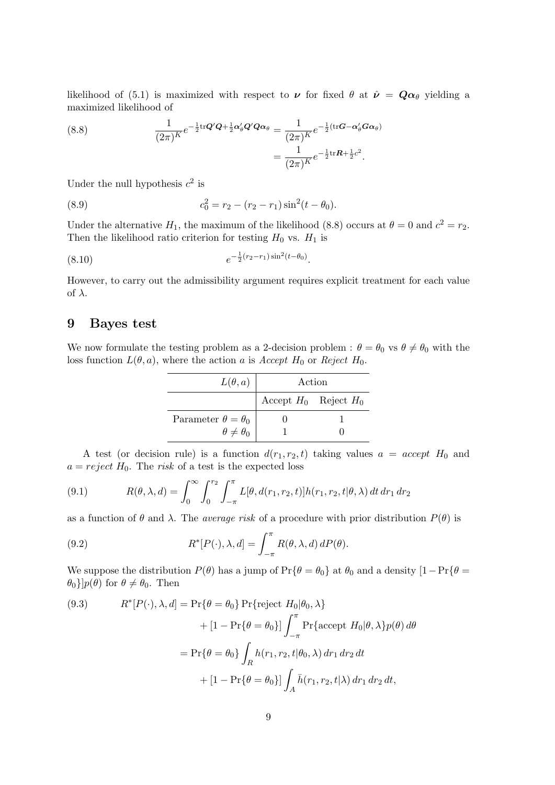likelihood of (5.1) is maximized with respect to  $\nu$  for fixed  $\theta$  at  $\hat{\nu} = Q\alpha_{\theta}$  yielding a maximized likelihood of

(8.8) 
$$
\frac{1}{(2\pi)^K}e^{-\frac{1}{2}\text{tr}\mathbf{Q}'\mathbf{Q}+\frac{1}{2}\mathbf{\alpha}'_{\theta}\mathbf{Q}'\mathbf{Q}\mathbf{\alpha}_{\theta}} = \frac{1}{(2\pi)^K}e^{-\frac{1}{2}(\text{tr}\mathbf{G}-\mathbf{\alpha}'_{\theta}\mathbf{G}\mathbf{\alpha}_{\theta})}
$$

$$
= \frac{1}{(2\pi)^K}e^{-\frac{1}{2}\text{tr}\mathbf{R}+\frac{1}{2}c^2}.
$$

Under the null hypothesis  $c^2$  is

(8.9) 
$$
c_0^2 = r_2 - (r_2 - r_1) \sin^2(t - \theta_0).
$$

Under the alternative  $H_1$ , the maximum of the likelihood (8.8) occurs at  $\theta = 0$  and  $c^2 = r_2$ . Then the likelihood ratio criterion for testing  $H_0$  vs.  $H_1$  is

$$
(8.10) \t\t\t e^{-\frac{1}{2}(r_2-r_1)\sin^2(t-\theta_0)}.
$$

However, to carry out the admissibility argument requires explicit treatment for each value of  $\lambda$ .

# 9 Bayes test

We now formulate the testing problem as a 2-decision problem :  $\theta = \theta_0$  vs  $\theta \neq \theta_0$  with the loss function  $L(\theta, a)$ , where the action a is Accept H<sub>0</sub> or Reject H<sub>0</sub>.

| $L(\theta, a)$                | Action                    |  |
|-------------------------------|---------------------------|--|
|                               | Accept $H_0$ Reject $H_0$ |  |
| Parameter $\theta = \theta_0$ |                           |  |
| $\theta \neq \theta_0$        |                           |  |

A test (or decision rule) is a function  $d(r_1, r_2, t)$  taking values  $a = accept H_0$  and  $a = reject H_0$ . The risk of a test is the expected loss

(9.1) 
$$
R(\theta, \lambda, d) = \int_0^\infty \int_0^{r_2} \int_{-\pi}^{\pi} L[\theta, d(r_1, r_2, t)] h(r_1, r_2, t | \theta, \lambda) dt dr_1 dr_2
$$

as a function of  $\theta$  and  $\lambda$ . The *average risk* of a procedure with prior distribution  $P(\theta)$  is

(9.2) 
$$
R^*[P(\cdot), \lambda, d] = \int_{-\pi}^{\pi} R(\theta, \lambda, d) dP(\theta).
$$

We suppose the distribution  $P(\theta)$  has a jump of  $Pr{\theta = \theta_0}$  at  $\theta_0$  and a density  $[1 - Pr{\theta = \theta_0}]$  $\{\theta_0\}$ ] $p(\theta)$  for  $\theta \neq \theta_0$ . Then

(9.3) 
$$
R^*[P(\cdot), \lambda, d] = \Pr\{\theta = \theta_0\} \Pr\{\text{reject } H_0 | \theta_0, \lambda\} + [1 - \Pr\{\theta = \theta_0\}] \int_{-\pi}^{\pi} \Pr\{\text{accept } H_0 | \theta, \lambda\} p(\theta) d\theta
$$

$$
= \Pr\{\theta = \theta_0\} \int_R h(r_1, r_2, t | \theta_0, \lambda) dr_1 dr_2 dt
$$

$$
+ [1 - \Pr\{\theta = \theta_0\}] \int_A \bar{h}(r_1, r_2, t | \lambda) dr_1 dr_2 dt,
$$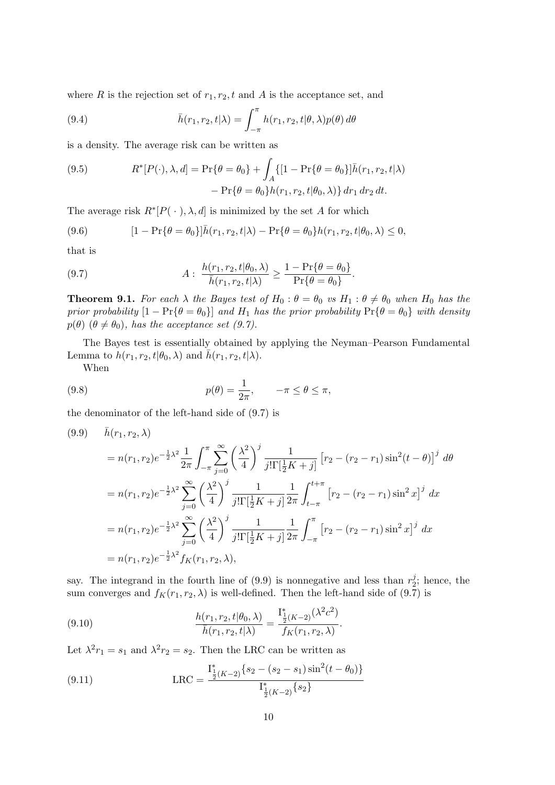where R is the rejection set of  $r_1, r_2, t$  and A is the acceptance set, and

(9.4) 
$$
\bar{h}(r_1, r_2, t | \lambda) = \int_{-\pi}^{\pi} h(r_1, r_2, t | \theta, \lambda) p(\theta) d\theta
$$

is a density. The average risk can be written as

(9.5) 
$$
R^*[P(\cdot), \lambda, d] = \Pr\{\theta = \theta_0\} + \int_A \{[1 - \Pr\{\theta = \theta_0\}]\bar{h}(r_1, r_2, t | \lambda) - \Pr\{\theta = \theta_0\}h(r_1, r_2, t | \theta_0, \lambda)\} dr_1 dr_2 dt.
$$

The average risk  $R^*[P(\cdot), \lambda, d]$  is minimized by the set A for which

(9.6) 
$$
[1 - \Pr{\theta = \theta_0}\]\bar{h}(r_1, r_2, t | \lambda) - \Pr{\theta = \theta_0}h(r_1, r_2, t | \theta_0, \lambda) \leq 0,
$$

that is

(9.7) 
$$
A: \frac{h(r_1, r_2, t | \theta_0, \lambda)}{\bar{h}(r_1, r_2, t | \lambda)} \geq \frac{1 - \Pr\{\theta = \theta_0\}}{\Pr\{\theta = \theta_0\}}.
$$

**Theorem 9.1.** For each  $\lambda$  the Bayes test of  $H_0$ :  $\theta = \theta_0$  vs  $H_1$ :  $\theta \neq \theta_0$  when  $H_0$  has the prior probability  $[1 - Pr{\theta = \theta_0}]$  and  $H_1$  has the prior probability  $Pr{\theta = \theta_0}$  with density  $p(\theta)$   $(\theta \neq \theta_0)$ , has the acceptance set (9.7).

The Bayes test is essentially obtained by applying the Neyman–Pearson Fundamental Lemma to  $h(r_1, r_2, t | \theta_0, \lambda)$  and  $\bar{h}(r_1, r_2, t | \lambda)$ .

When

(9.8) 
$$
p(\theta) = \frac{1}{2\pi}, \quad -\pi \le \theta \le \pi,
$$

the denominator of the left-hand side of (9.7) is

$$
(9.9) \quad \bar{h}(r_1, r_2, \lambda)
$$
\n
$$
= n(r_1, r_2) e^{-\frac{1}{2}\lambda^2} \frac{1}{2\pi} \int_{-\pi}^{\pi} \sum_{j=0}^{\infty} \left(\frac{\lambda^2}{4}\right)^j \frac{1}{j! \Gamma[\frac{1}{2}K + j]} \left[r_2 - (r_2 - r_1) \sin^2(t - \theta)\right]^j d\theta
$$
\n
$$
= n(r_1, r_2) e^{-\frac{1}{2}\lambda^2} \sum_{j=0}^{\infty} \left(\frac{\lambda^2}{4}\right)^j \frac{1}{j! \Gamma[\frac{1}{2}K + j]} \frac{1}{2\pi} \int_{t-\pi}^{t+\pi} \left[r_2 - (r_2 - r_1) \sin^2 x\right]^j dx
$$
\n
$$
= n(r_1, r_2) e^{-\frac{1}{2}\lambda^2} \sum_{j=0}^{\infty} \left(\frac{\lambda^2}{4}\right)^j \frac{1}{j! \Gamma[\frac{1}{2}K + j]} \frac{1}{2\pi} \int_{-\pi}^{\pi} \left[r_2 - (r_2 - r_1) \sin^2 x\right]^j dx
$$
\n
$$
= n(r_1, r_2) e^{-\frac{1}{2}\lambda^2} f_K(r_1, r_2, \lambda),
$$

say. The integrand in the fourth line of (9.9) is nonnegative and less than  $r_2^j$  $2^j$ ; hence, the sum converges and  $f_K(r_1, r_2, \lambda)$  is well-defined. Then the left-hand side of  $(9.\overline{7})$  is

(9.10) 
$$
\frac{h(r_1, r_2, t | \theta_0, \lambda)}{\bar{h}(r_1, r_2, t | \lambda)} = \frac{\mathrm{I}_{\frac{1}{2}(K-2)}^*(\lambda^2 c^2)}{f_K(r_1, r_2, \lambda)}.
$$

Let  $\lambda^2 r_1 = s_1$  and  $\lambda^2 r_2 = s_2$ . Then the LRC can be written as

(9.11) 
$$
LRC = \frac{I_{\frac{1}{2}(K-2)}^*(s_2 - (s_2 - s_1)\sin^2(t - \theta_0))}{I_{\frac{1}{2}(K-2)}^*(s_2)}
$$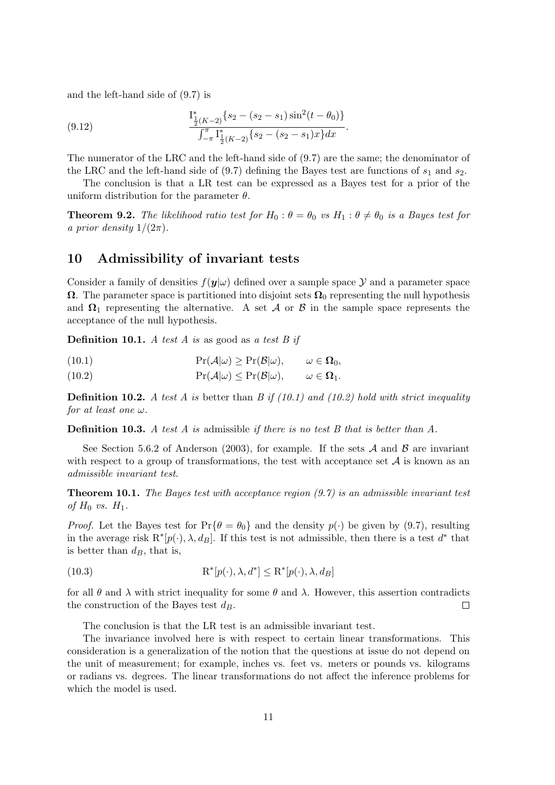and the left-hand side of (9.7) is

(9.12) 
$$
\frac{\mathbf{I}_{\frac{1}{2}(K-2)}^*[s_2 - (s_2 - s_1)\sin^2(t - \theta_0)]}{\int_{-\pi}^{\pi} \mathbf{I}_{\frac{1}{2}(K-2)}^*[s_2 - (s_2 - s_1)x]dx}
$$

The numerator of the LRC and the left-hand side of (9.7) are the same; the denominator of the LRC and the left-hand side of  $(9.7)$  defining the Bayes test are functions of  $s_1$  and  $s_2$ .

.

The conclusion is that a LR test can be expressed as a Bayes test for a prior of the uniform distribution for the parameter  $\theta$ .

**Theorem 9.2.** The likelihood ratio test for  $H_0: \theta = \theta_0$  vs  $H_1: \theta \neq \theta_0$  is a Bayes test for a prior density  $1/(2\pi)$ .

# 10 Admissibility of invariant tests

Consider a family of densities  $f(\mathbf{y}|\omega)$  defined over a sample space  $\mathcal Y$  and a parameter space  $\Omega$ . The parameter space is partitioned into disjoint sets  $\Omega_0$  representing the null hypothesis and  $\Omega_1$  representing the alternative. A set A or B in the sample space represents the acceptance of the null hypothesis.

**Definition 10.1.** A test A is as good as a test B if

(10.1) 
$$
\Pr(\mathcal{A}|\omega) \geq \Pr(\mathcal{B}|\omega), \qquad \omega \in \Omega_0,
$$

(10.2) 
$$
\Pr(\mathcal{A}|\omega) \leq \Pr(\mathcal{B}|\omega), \qquad \omega \in \Omega_1.
$$

**Definition 10.2.** A test A is better than B if  $(10.1)$  and  $(10.2)$  hold with strict inequality for at least one  $\omega$ .

**Definition 10.3.** A test A is admissible if there is no test B that is better than A.

See Section 5.6.2 of Anderson (2003), for example. If the sets  $A$  and  $B$  are invariant with respect to a group of transformations, the test with acceptance set  $A$  is known as an admissible invariant test.

**Theorem 10.1.** The Bayes test with acceptance region  $(9.7)$  is an admissible invariant test of  $H_0$  vs.  $H_1$ .

*Proof.* Let the Bayes test for  $Pr{\theta = \theta_0}$  and the density  $p(\cdot)$  be given by (9.7), resulting in the average risk  $\mathbb{R}^*[p(\cdot), \lambda, d_B]$ . If this test is not admissible, then there is a test  $d^*$  that is better than  $d_B$ , that is,

(10.3) 
$$
\mathbf{R}^*[p(\cdot), \lambda, d^*] \leq \mathbf{R}^*[p(\cdot), \lambda, d_B]
$$

for all  $\theta$  and  $\lambda$  with strict inequality for some  $\theta$  and  $\lambda$ . However, this assertion contradicts the construction of the Bayes test  $d_B$ .  $\Box$ 

The conclusion is that the LR test is an admissible invariant test.

The invariance involved here is with respect to certain linear transformations. This consideration is a generalization of the notion that the questions at issue do not depend on the unit of measurement; for example, inches vs. feet vs. meters or pounds vs. kilograms or radians vs. degrees. The linear transformations do not affect the inference problems for which the model is used.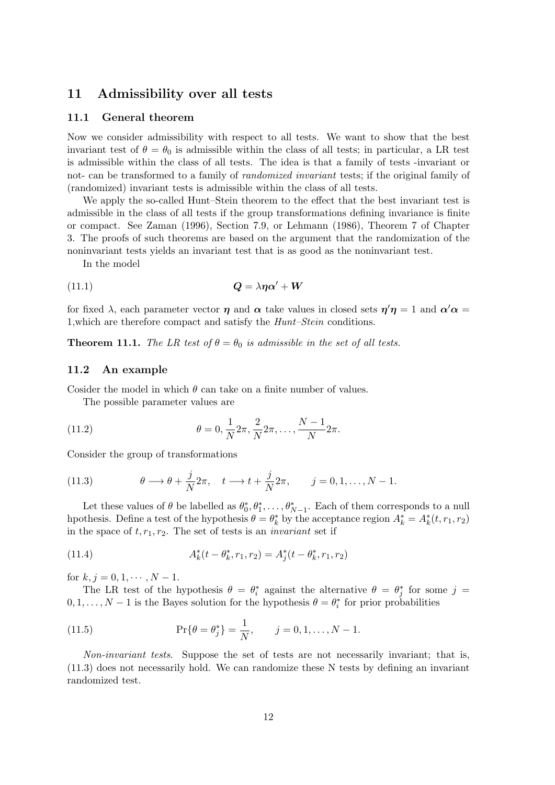# 11 Admissibility over all tests

#### 11.1 General theorem

Now we consider admissibility with respect to all tests. We want to show that the best invariant test of  $\theta = \theta_0$  is admissible within the class of all tests; in particular, a LR test is admissible within the class of all tests. The idea is that a family of tests -invariant or not- can be transformed to a family of randomized invariant tests; if the original family of (randomized) invariant tests is admissible within the class of all tests.

We apply the so-called Hunt–Stein theorem to the effect that the best invariant test is admissible in the class of all tests if the group transformations defining invariance is finite or compact. See Zaman (1996), Section 7.9, or Lehmann (1986), Theorem 7 of Chapter 3. The proofs of such theorems are based on the argument that the randomization of the noninvariant tests yields an invariant test that is as good as the noninvariant test.

In the model

$$
(11.1) \t\t Q = \lambda \eta \alpha' + W
$$

for fixed  $\lambda$ , each parameter vector  $\eta$  and  $\alpha$  take values in closed sets  $\eta'\eta = 1$  and  $\alpha'\alpha =$ 1,which are therefore compact and satisfy the Hunt–Stein conditions.

**Theorem 11.1.** The LR test of  $\theta = \theta_0$  is admissible in the set of all tests.

#### 11.2 An example

Cosider the model in which  $\theta$  can take on a finite number of values.

The possible parameter values are

(11.2) 
$$
\theta = 0, \frac{1}{N} 2\pi, \frac{2}{N} 2\pi, ..., \frac{N-1}{N} 2\pi.
$$

Consider the group of transformations

(11.3) 
$$
\theta \longrightarrow \theta + \frac{j}{N} 2\pi, \quad t \longrightarrow t + \frac{j}{N} 2\pi, \quad j = 0, 1, \dots, N - 1.
$$

Let these values of  $\theta$  be labelled as  $\theta_0^*, \theta_1^*, \dots, \theta_{N-1}^*$ . Each of them corresponds to a null hpothesis. Define a test of the hypothesis  $\theta = \theta_k^*$  by the acceptance region  $A_k^* = A_k^*(t, r_1, r_2)$ in the space of  $t, r_1, r_2$ . The set of tests is an *invariant* set if

(11.4) 
$$
A_k^*(t - \theta_k^*, r_1, r_2) = A_j^*(t - \theta_k^*, r_1, r_2)
$$

for  $k, j = 0, 1, \cdots, N - 1$ .

The LR test of the hypothesis  $\theta = \theta_i^*$  against the alternative  $\theta = \theta_j^*$  for some  $j =$  $0, 1, \ldots, N-1$  is the Bayes solution for the hypothesis  $\theta = \theta_i^*$  for prior probabilities

(11.5) 
$$
\Pr\{\theta = \theta_j^*\} = \frac{1}{N}, \qquad j = 0, 1, ..., N - 1.
$$

Non-invariant tests. Suppose the set of tests are not necessarily invariant; that is, (11.3) does not necessarily hold. We can randomize these N tests by defining an invariant randomized test.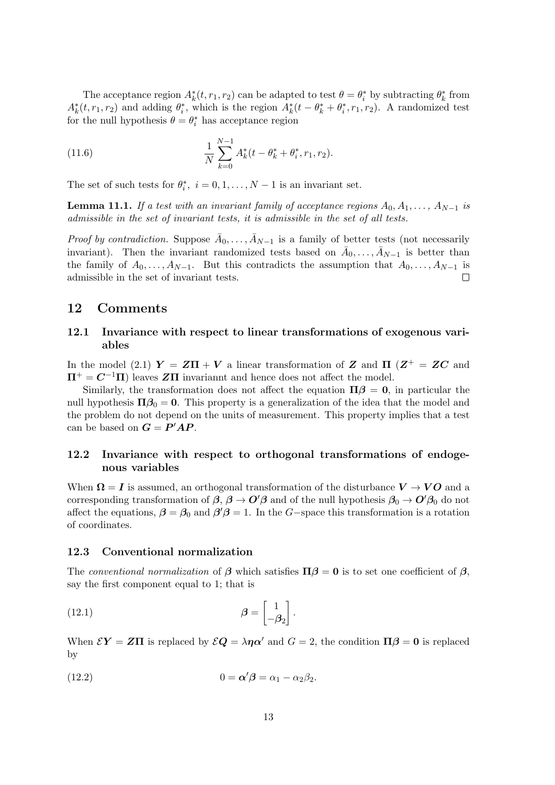The acceptance region  $A_k^*(t, r_1, r_2)$  can be adapted to test  $\theta = \theta_i^*$  by subtracting  $\theta_k^*$  from  $A_k^*(t, r_1, r_2)$  and adding  $\theta_i^*$ , which is the region  $A_k^*(t - \theta_k^* + \theta_i^*, r_1, r_2)$ . A randomized test for the null hypothesis  $\theta = \theta_i^*$  has acceptance region

(11.6) 
$$
\frac{1}{N} \sum_{k=0}^{N-1} A_k^*(t - \theta_k^* + \theta_i^*, r_1, r_2).
$$

The set of such tests for  $\theta_i^*$ ,  $i = 0, 1, ..., N - 1$  is an invariant set.

**Lemma 11.1.** If a test with an invariant family of acceptance regions  $A_0, A_1, \ldots, A_{N-1}$  is admissible in the set of invariant tests, it is admissible in the set of all tests.

*Proof by contradiction.* Suppose  $\bar{A}_0, \ldots, \bar{A}_{N-1}$  is a family of better tests (not necessarily invariant). Then the invariant randomized tests based on  $\bar{A}_0, \ldots, \bar{A}_{N-1}$  is better than the family of  $A_0, \ldots, A_{N-1}$ . But this contradicts the assumption that  $A_0, \ldots, A_{N-1}$  is admissible in the set of invariant tests.

### 12 Comments

### 12.1 Invariance with respect to linear transformations of exogenous variables

In the model (2.1)  $Y = Z\Pi + V$  a linear transformation of Z and  $\Pi$  ( $Z^+ = ZC$  and  $\Pi^+ = C^{-1}\Pi$  leaves ZII invariannt and hence does not affect the model.

Similarly, the transformation does not affect the equation  $\Pi\beta = 0$ , in particular the null hypothesis  $\Pi \beta_0 = 0$ . This property is a generalization of the idea that the model and the problem do not depend on the units of measurement. This property implies that a test can be based on  $G = P'AP$ .

### 12.2 Invariance with respect to orthogonal transformations of endogenous variables

When  $\Omega = I$  is assumed, an orthogonal transformation of the disturbance  $V \to VO$  and a corresponding transformation of  $\beta$ ,  $\beta \to O'\beta$  and of the null hypothesis  $\beta_0 \to O'\beta_0$  do not affect the equations,  $\beta = \beta_0$  and  $\beta' \beta = 1$ . In the G-space this transformation is a rotation of coordinates.

#### 12.3 Conventional normalization

The conventional normalization of  $\beta$  which satisfies  $\Pi \beta = 0$  is to set one coefficient of  $\beta$ , say the first component equal to 1; that is

(12.1) 
$$
\beta = \begin{bmatrix} 1 \\ -\beta_2 \end{bmatrix}.
$$

When  $\mathcal{E}Y = Z\Pi$  is replaced by  $\mathcal{E}Q = \lambda\eta\alpha'$  and  $G = 2$ , the condition  $\Pi\beta = 0$  is replaced by

(12.2) 
$$
0 = \alpha' \beta = \alpha_1 - \alpha_2 \beta_2.
$$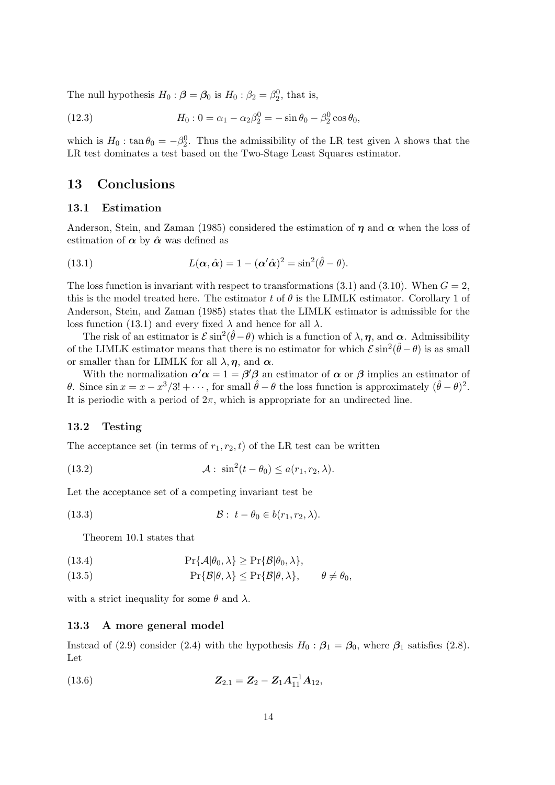The null hypothesis  $H_0: \beta = \beta_0$  is  $H_0: \beta_2 = \beta_2^0$ , that is,

(12.3) 
$$
H_0: 0 = \alpha_1 - \alpha_2 \beta_2^0 = -\sin \theta_0 - \beta_2^0 \cos \theta_0,
$$

which is  $H_0: \tan \theta_0 = -\beta_2^0$ . Thus the admissibility of the LR test given  $\lambda$  shows that the LR test dominates a test based on the Two-Stage Least Squares estimator.

# 13 Conclusions

#### 13.1 Estimation

Anderson, Stein, and Zaman (1985) considered the estimation of  $\eta$  and  $\alpha$  when the loss of estimation of  $\alpha$  by  $\hat{\alpha}$  was defined as

(13.1) 
$$
L(\alpha, \hat{\alpha}) = 1 - (\alpha' \hat{\alpha})^2 = \sin^2(\hat{\theta} - \theta).
$$

The loss function is invariant with respect to transformations (3.1) and (3.10). When  $G = 2$ , this is the model treated here. The estimator t of  $\theta$  is the LIMLK estimator. Corollary 1 of Anderson, Stein, and Zaman (1985) states that the LIMLK estimator is admissible for the loss function (13.1) and every fixed  $\lambda$  and hence for all  $\lambda$ .

The risk of an estimator is  $\mathcal{E} \sin^2(\hat{\theta} - \theta)$  which is a function of  $\lambda, \eta$ , and  $\alpha$ . Admissibility of the LIMLK estimator means that there is no estimator for which  $\mathcal{E} \sin^2(\hat{\theta} - \theta)$  is as small or smaller than for LIMLK for all  $\lambda$ ,  $\eta$ , and  $\alpha$ .

With the normalization  $\alpha' \alpha = 1 = \beta' \beta$  an estimator of  $\alpha$  or  $\beta$  implies an estimator of θ. Since  $\sin x = x - x^3/3! + \cdots$ , for small  $\hat{\theta} - \theta$  the loss function is approximately  $(\hat{\theta} - \theta)^2$ . It is periodic with a period of  $2\pi$ , which is appropriate for an undirected line.

#### 13.2 Testing

The acceptance set (in terms of  $r_1, r_2, t$ ) of the LR test can be written

(13.2) 
$$
\mathcal{A}: \sin^2(t-\theta_0) \leq a(r_1, r_2, \lambda).
$$

Let the acceptance set of a competing invariant test be

(13.3) 
$$
\mathcal{B}: t - \theta_0 \in b(r_1, r_2, \lambda).
$$

Theorem 10.1 states that

(13.4) 
$$
\Pr\{\mathcal{A}|\theta_0,\lambda\} \geq \Pr\{\mathcal{B}|\theta_0,\lambda\},
$$

(13.5) 
$$
\Pr\{\mathcal{B}|\theta,\lambda\} \leq \Pr\{\mathcal{B}|\theta,\lambda\}, \qquad \theta \neq \theta_0,
$$

with a strict inequality for some  $\theta$  and  $\lambda$ .

#### 13.3 A more general model

Instead of (2.9) consider (2.4) with the hypothesis  $H_0$  :  $\beta_1 = \beta_0$ , where  $\beta_1$  satisfies (2.8). Let

(13.6) 
$$
Z_{2.1} = Z_2 - Z_1 A_{11}^{-1} A_{12},
$$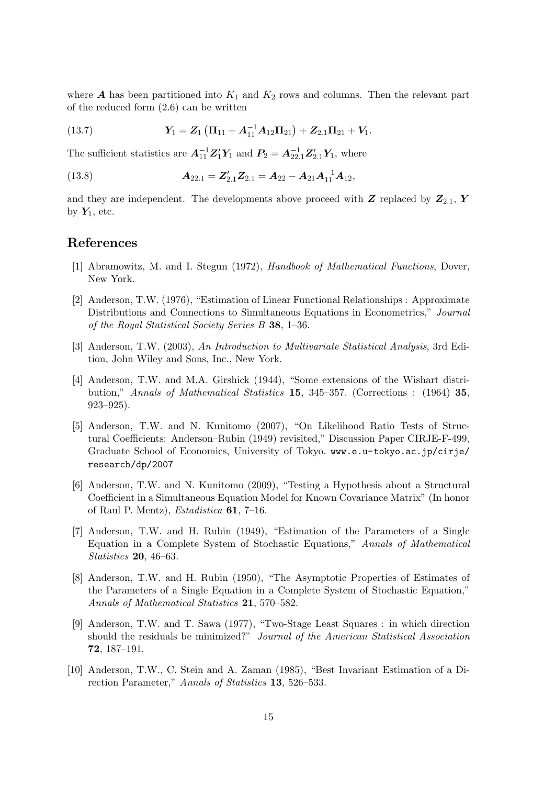where  $\boldsymbol{A}$  has been partitioned into  $K_1$  and  $K_2$  rows and columns. Then the relevant part of the reduced form (2.6) can be written

(13.7) 
$$
Y_1 = Z_1 (\Pi_{11} + A_{11}^{-1} A_{12} \Pi_{21}) + Z_{2.1} \Pi_{21} + V_1.
$$

The sufficient statistics are  $A_{11}^{-1}Z_1'Y_1$  and  $P_2 = A_{22.1}^{-1}Z_{2.1}'Y_1$ , where

(13.8) 
$$
A_{22.1} = Z'_{2.1}Z_{2.1} = A_{22} - A_{21}A_{11}^{-1}A_{12},
$$

and they are independent. The developments above proceed with  $Z$  replaced by  $Z_{2,1}$ ,  $Y$ by  $Y_1$ , etc.

# References

- [1] Abramowitz, M. and I. Stegun (1972), Handbook of Mathematical Functions, Dover, New York.
- [2] Anderson, T.W. (1976), "Estimation of Linear Functional Relationships : Approximate Distributions and Connections to Simultaneous Equations in Econometrics," Journal of the Royal Statistical Society Series B 38, 1–36.
- [3] Anderson, T.W. (2003), An Introduction to Multivariate Statistical Analysis, 3rd Edition, John Wiley and Sons, Inc., New York.
- [4] Anderson, T.W. and M.A. Girshick (1944), "Some extensions of the Wishart distribution," Annals of Mathematical Statistics 15, 345–357. (Corrections : (1964) 35, 923–925).
- [5] Anderson, T.W. and N. Kunitomo (2007), "On Likelihood Ratio Tests of Structural Coefficients: Anderson–Rubin (1949) revisited," Discussion Paper CIRJE-F-499, Graduate School of Economics, University of Tokyo. www.e.u-tokyo.ac.jp/cirje/ research/dp/2007
- [6] Anderson, T.W. and N. Kunitomo (2009), "Testing a Hypothesis about a Structural Coefficient in a Simultaneous Equation Model for Known Covariance Matrix" (In honor of Raul P. Mentz), Estadistica 61, 7–16.
- [7] Anderson, T.W. and H. Rubin (1949), "Estimation of the Parameters of a Single Equation in a Complete System of Stochastic Equations," Annals of Mathematical Statistics 20, 46–63.
- [8] Anderson, T.W. and H. Rubin (1950), "The Asymptotic Properties of Estimates of the Parameters of a Single Equation in a Complete System of Stochastic Equation," Annals of Mathematical Statistics 21, 570–582.
- [9] Anderson, T.W. and T. Sawa (1977), "Two-Stage Least Squares : in which direction should the residuals be minimized?" Journal of the American Statistical Association 72, 187–191.
- [10] Anderson, T.W., C. Stein and A. Zaman (1985), "Best Invariant Estimation of a Direction Parameter," Annals of Statistics 13, 526–533.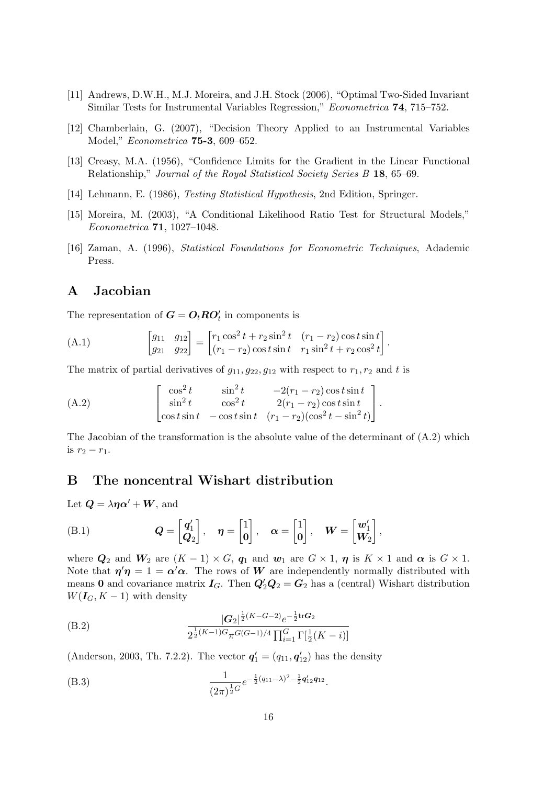- [11] Andrews, D.W.H., M.J. Moreira, and J.H. Stock (2006), "Optimal Two-Sided Invariant Similar Tests for Instrumental Variables Regression," Econometrica 74, 715–752.
- [12] Chamberlain, G. (2007), "Decision Theory Applied to an Instrumental Variables Model," Econometrica 75-3, 609–652.
- [13] Creasy, M.A. (1956), "Confidence Limits for the Gradient in the Linear Functional Relationship," Journal of the Royal Statistical Society Series B 18, 65–69.
- [14] Lehmann, E. (1986), Testing Statistical Hypothesis, 2nd Edition, Springer.
- [15] Moreira, M. (2003), "A Conditional Likelihood Ratio Test for Structural Models," Econometrica 71, 1027–1048.
- [16] Zaman, A. (1996), Statistical Foundations for Econometric Techniques, Adademic Press.

# A Jacobian

The representation of  $G = O_t R O'_t$  in components is

(A.1) 
$$
\begin{bmatrix} g_{11} & g_{12} \ g_{21} & g_{22} \end{bmatrix} = \begin{bmatrix} r_1 \cos^2 t + r_2 \sin^2 t & (r_1 - r_2) \cos t \sin t \\ (r_1 - r_2) \cos t \sin t & r_1 \sin^2 t + r_2 \cos^2 t \end{bmatrix}.
$$

The matrix of partial derivatives of  $g_{11}, g_{22}, g_{12}$  with respect to  $r_1, r_2$  and t is

(A.2) 
$$
\begin{bmatrix} \cos^2 t & \sin^2 t & -2(r_1 - r_2) \cos t \sin t \\ \sin^2 t & \cos^2 t & 2(r_1 - r_2) \cos t \sin t \\ \cos t \sin t & -\cos t \sin t & (r_1 - r_2) (\cos^2 t - \sin^2 t) \end{bmatrix}.
$$

The Jacobian of the transformation is the absolute value of the determinant of  $(A.2)$  which is  $r_2 - r_1$ .

# B The noncentral Wishart distribution

Let  $\mathbf{Q} = \lambda \eta \alpha' + \mathbf{W}$ , and

(B.1) 
$$
Q = \begin{bmatrix} q'_1 \\ Q_2 \end{bmatrix}, \quad \eta = \begin{bmatrix} 1 \\ 0 \end{bmatrix}, \quad \alpha = \begin{bmatrix} 1 \\ 0 \end{bmatrix}, \quad W = \begin{bmatrix} w'_1 \\ W_2 \end{bmatrix},
$$

where  $Q_2$  and  $W_2$  are  $(K - 1) \times G$ ,  $q_1$  and  $w_1$  are  $G \times 1$ ,  $\eta$  is  $K \times 1$  and  $\alpha$  is  $G \times 1$ . Note that  $\eta' \eta = 1 = \alpha' \alpha$ . The rows of W are independently normally distributed with means 0 and covariance matrix  $I_G$ . Then  $Q'_2Q_2 = G_2$  has a (central) Wishart distribution  $W(I_G, K - 1)$  with density

(B.2) 
$$
\frac{|G_2|^{\frac{1}{2}(K-G-2)}e^{-\frac{1}{2}\text{tr}G_2}}{2^{\frac{1}{2}(K-1)G}\pi^{G(G-1)/4}\prod_{i=1}^G\Gamma[\frac{1}{2}(K-i)]}
$$

(Anderson, 2003, Th. 7.2.2). The vector  $\mathbf{q}'_1 = (q_{11}, \mathbf{q}'_{12})$  has the density

(B.3) 
$$
\frac{1}{(2\pi)^{\frac{1}{2}G}}e^{-\frac{1}{2}(q_{11}-\lambda)^2-\frac{1}{2}q'_{12}q_{12}}.
$$